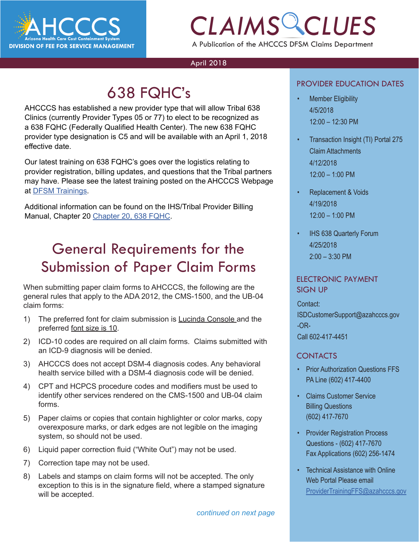

## *CLAIMS CLUES* A Publication of the AHCCCS DFSM Claims Department

April 2018

## 638 FQHC's

AHCCCS has established a new provider type that will allow Tribal 638 Clinics (currently Provider Types 05 or 77) to elect to be recognized as a 638 FQHC (Federally Qualified Health Center). The new 638 FQHC provider type designation is C5 and will be available with an April 1, 2018 effective date.

Our latest training on 638 FQHC's goes over the logistics relating to provider registration, billing updates, and questions that the Tribal partners may have. Please see the latest training posted on the AHCCCS Webpage at [DFSM Trainings](https://www.azahcccs.gov/Resources/DFSMTraining/index.html).

Additional information can be found on the IHS/Tribal Provider Billing Manual, Chapter 20 [Chapter 20, 638 FQHC](https://www.azahcccs.gov/PlansProviders/Downloads/IHS-TribalManual/IHS-Chapter20_638_FQHC.pdf).

### General Requirements for the Submission of Paper Claim Forms

When submitting paper claim forms to AHCCCS, the following are the general rules that apply to the ADA 2012, the CMS-1500, and the UB-04 claim forms:

- 1) The preferred font for claim submission is **Lucinda Console and the** preferred font size is 10.
- 2) ICD-10 codes are required on all claim forms. Claims submitted with an ICD-9 diagnosis will be denied.
- 3) AHCCCS does not accept DSM-4 diagnosis codes. Any behavioral health service billed with a DSM-4 diagnosis code will be denied.
- 4) CPT and HCPCS procedure codes and modifiers must be used to identify other services rendered on the CMS-1500 and UB-04 claim forms.
- 5) Paper claims or copies that contain highlighter or color marks, copy overexposure marks, or dark edges are not legible on the imaging system, so should not be used.
- 6) Liquid paper correction fluid ("White Out") may not be used.
- 7) Correction tape may not be used.
- 8) Labels and stamps on claim forms will not be accepted. The only exception to this is in the signature field, where a stamped signature will be accepted.

#### PROVIDER EDUCATION DATES

- PROVIDER EDUCATION DATES<br>
FROVIDER EDUCATION DATES<br>
FROVIDER EDUCATION DATES<br> *CLAIMS* CHARGE FROM THE STATES • Member Eligibility 4/5/2018 12:00 – 12:30 PM
	- Transaction Insight (TI) Portal 275 Claim Attachments 4/12/2018 12:00 – 1:00 PM
	- Replacement & Voids 4/19/2018 12:00 – 1:00 PM
	- **IHS 638 Quarterly Forum** 4/25/2018 2:00 – 3:30 PM

#### ELECTRONIC PAYMENT SIGN UP

Contact:

ISDCustomerSupport@azahcccs.gov -OR-Call 602-417-4451

### CONTACTS

- Prior Authorization Questions FFS PA Line (602) 417-4400
- Claims Customer Service Billing Questions (602) 417-7670
- Provider Registration Process Questions - (602) 417-7670 Fax Applications (602) 256-1474
- Technical Assistance with Online Web Portal Please email [ProviderTrainingFFS@azahcccs.gov](mailto:ProviderTrainingFFS%40azahcccs.gov%20?subject=)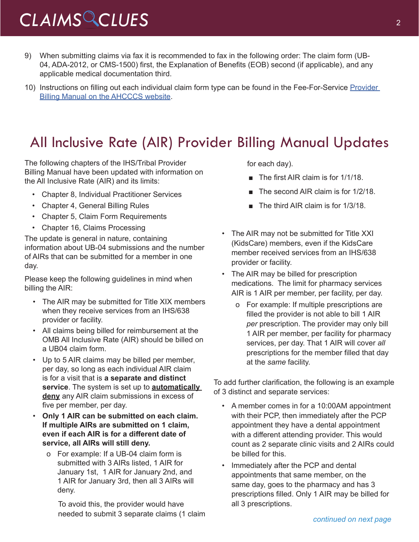# *CLAIMS CLUES* <sup>2</sup>

- 9) When submitting claims via fax it is recommended to fax in the following order: The claim form (UB-04, ADA-2012, or CMS-1500) first, the Explanation of Benefits (EOB) second (if applicable), and any applicable medical documentation third.
- 10) Instructions on filling out each individual claim form type can be found in the Fee-For-Service [Provider](https://www.azahcccs.gov/PlansProviders/RatesAndBilling/FFS/providermanual.html)  [Billing Manual on the AHCCCS website](https://www.azahcccs.gov/PlansProviders/RatesAndBilling/FFS/providermanual.html).

### All Inclusive Rate (AIR) Provider Billing Manual Updates

The following chapters of the IHS/Tribal Provider Billing Manual have been updated with information on the All Inclusive Rate (AIR) and its limits:

- Chapter 8, Individual Practitioner Services
- Chapter 4, General Billing Rules
- Chapter 5, Claim Form Requirements
- Chapter 16, Claims Processing

The update is general in nature, containing information about UB-04 submissions and the number of AIRs that can be submitted for a member in one day.

Please keep the following guidelines in mind when billing the AIR:

- The AIR may be submitted for Title XIX members when they receive services from an IHS/638 provider or facility.
- All claims being billed for reimbursement at the OMB All Inclusive Rate (AIR) should be billed on a UB04 claim form.
- Up to 5 AIR claims may be billed per member, per day, so long as each individual AIR claim is for a visit that is **a separate and distinct service**. The system is set up to **automatically deny** any AIR claim submissions in excess of five per member, per day.
- **Only 1 AIR can be submitted on each claim. If multiple AIRs are submitted on 1 claim, even if each AIR is for a different date of service, all AIRs will still deny.** 
	- o For example: If a UB-04 claim form is submitted with 3 AIRs listed, 1 AIR for January 1st, 1 AIR for January 2nd, and 1 AIR for January 3rd, then all 3 AIRs will deny.

To avoid this, the provider would have needed to submit 3 separate claims (1 claim for each day).

- The first AIR claim is for 1/1/18.
- The second AIR claim is for 1/2/18.
- The third AIR claim is for 1/3/18.
- The AIR may not be submitted for Title XXI (KidsCare) members, even if the KidsCare member received services from an IHS/638 provider or facility.
- The AIR may be billed for prescription medications. The limit for pharmacy services AIR is 1 AIR per member, per facility, per day.
	- o For example: If multiple prescriptions are filled the provider is not able to bill 1 AIR *per* prescription. The provider may only bill 1 AIR per member, per facility for pharmacy services, per day. That 1 AIR will cover *all* prescriptions for the member filled that day at the *same* facility.

To add further clarification, the following is an example of 3 distinct and separate services:

- A member comes in for a 10:00AM appointment with their PCP, then immediately after the PCP appointment they have a dental appointment with a different attending provider. This would count as 2 separate clinic visits and 2 AIRs could be billed for this.
- Immediately after the PCP and dental appointments that same member, on the same day, goes to the pharmacy and has 3 prescriptions filled. Only 1 AIR may be billed for all 3 prescriptions.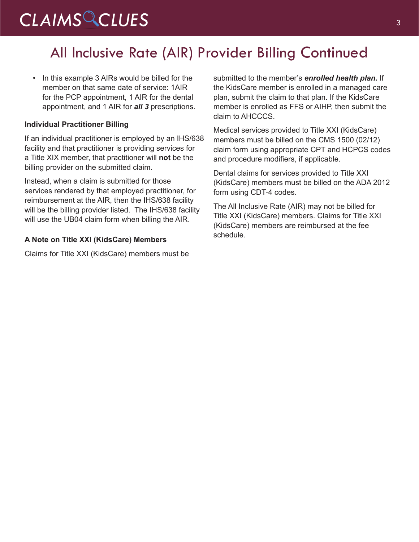# CLAIMS CLUES<sup>3</sup>

### All Inclusive Rate (AIR) Provider Billing Continued

• In this example 3 AIRs would be billed for the member on that same date of service: 1AIR for the PCP appointment, 1 AIR for the dental appointment, and 1 AIR for *all 3* prescriptions.

#### **Individual Practitioner Billing**

If an individual practitioner is employed by an IHS/638 facility and that practitioner is providing services for a Title XIX member, that practitioner will **not** be the billing provider on the submitted claim.

Instead, when a claim is submitted for those services rendered by that employed practitioner, for reimbursement at the AIR, then the IHS/638 facility will be the billing provider listed. The IHS/638 facility will use the UB04 claim form when billing the AIR.

#### **A Note on Title XXI (KidsCare) Members**

Claims for Title XXI (KidsCare) members must be

submitted to the member's *enrolled health plan.* If the KidsCare member is enrolled in a managed care plan, submit the claim to that plan. If the KidsCare member is enrolled as FFS or AIHP, then submit the claim to AHCCCS.

Medical services provided to Title XXI (KidsCare) members must be billed on the CMS 1500 (02/12) claim form using appropriate CPT and HCPCS codes and procedure modifiers, if applicable.

Dental claims for services provided to Title XXI (KidsCare) members must be billed on the ADA 2012 form using CDT-4 codes.

The All Inclusive Rate (AIR) may not be billed for Title XXI (KidsCare) members. Claims for Title XXI (KidsCare) members are reimbursed at the fee schedule.